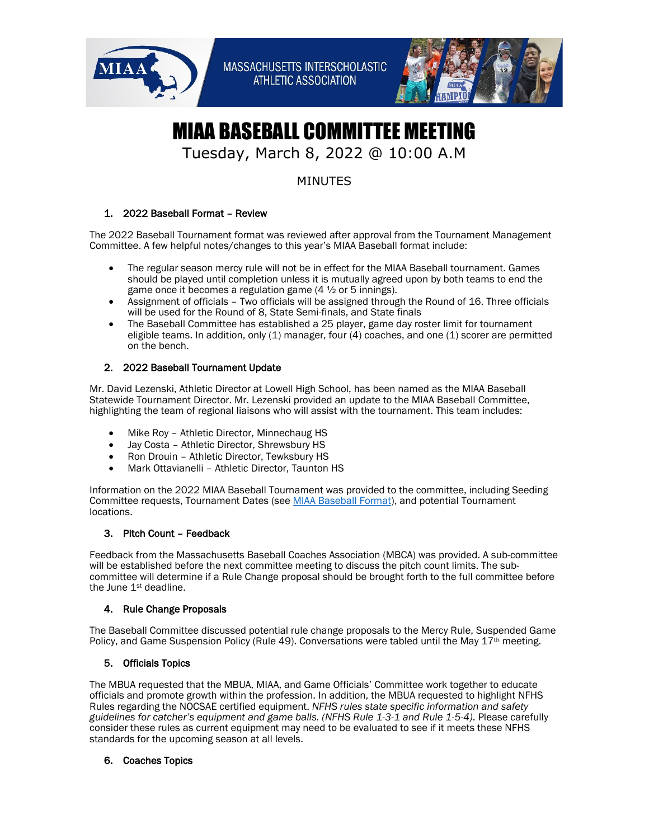



# MIAA BASEBALL COMMITTEE MEETING

## Tuesday, March 8, 2022 @ 10:00 A.M

### MINUTES

#### 1. 2022 Baseball Format – Review

The 2022 Baseball Tournament format was reviewed after approval from the Tournament Management Committee. A few helpful notes/changes to this year's MIAA Baseball format include:

- The regular season mercy rule will not be in effect for the MIAA Baseball tournament. Games should be played until completion unless it is mutually agreed upon by both teams to end the game once it becomes a regulation game (4 ½ or 5 innings).
- Assignment of officials Two officials will be assigned through the Round of 16. Three officials will be used for the Round of 8, State Semi-finals, and State finals
- The Baseball Committee has established a 25 player, game day roster limit for tournament eligible teams. In addition, only (1) manager, four (4) coaches, and one (1) scorer are permitted on the bench.

#### 2. 2022 Baseball Tournament Update

Mr. David Lezenski, Athletic Director at Lowell High School, has been named as the MIAA Baseball Statewide Tournament Director. Mr. Lezenski provided an update to the MIAA Baseball Committee, highlighting the team of regional liaisons who will assist with the tournament. This team includes:

- Mike Roy Athletic Director, Minnechaug HS
- Jay Costa Athletic Director, Shrewsbury HS
- Ron Drouin Athletic Director, Tewksbury HS
- Mark Ottavianelli Athletic Director, Taunton HS

Information on the 2022 MIAA Baseball Tournament was provided to the committee, including Seeding Committee requests, Tournament Dates (see [MIAA Baseball Format\)](https://miaa.net/wp-content/uploads/2022/03/Baseball-Spring2022-Aproved.pdf), and potential Tournament locations.

#### 3. Pitch Count – Feedback

Feedback from the Massachusetts Baseball Coaches Association (MBCA) was provided. A sub-committee will be established before the next committee meeting to discuss the pitch count limits. The subcommittee will determine if a Rule Change proposal should be brought forth to the full committee before the June 1<sup>st</sup> deadline.

#### 4. Rule Change Proposals

The Baseball Committee discussed potential rule change proposals to the Mercy Rule, Suspended Game Policy, and Game Suspension Policy (Rule 49). Conversations were tabled until the May  $17^{\text{th}}$  meeting.

#### 5. Officials Topics

The MBUA requested that the MBUA, MIAA, and Game Officials' Committee work together to educate officials and promote growth within the profession. In addition, the MBUA requested to highlight NFHS Rules regarding the NOCSAE certified equipment. *NFHS rules state specific information and safety guidelines for catcher's equipment and game balls. (NFHS Rule 1-3-1 and Rule 1-5-4)*. Please carefully consider these rules as current equipment may need to be evaluated to see if it meets these NFHS standards for the upcoming season at all levels.

#### 6. Coaches Topics